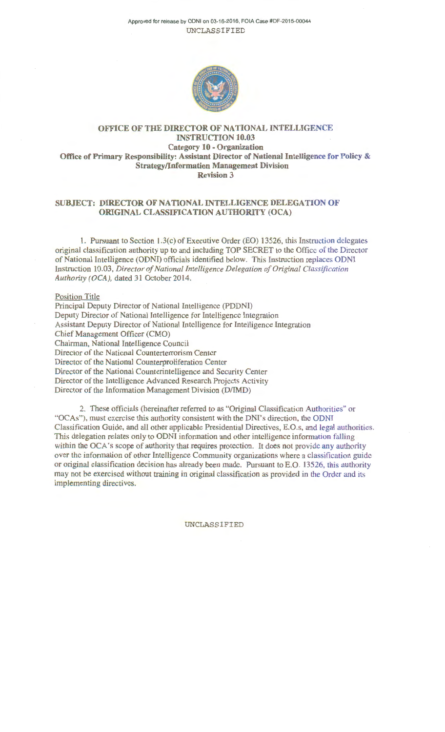Approved for release by ODNI on 03-16-2016, FOIA Case #DF-2015-00044 UNCLASSIFIED



# OFFICE OF THE DIRECTOR OF NATIONAL INTELLIGENCE INSTRUCTION 10.03 Category 10 - Organization Office of Primary Responsibility: Assistant Director of National Intelligence for Policy & Strategy/Information Management Division Revision 3

## SUBJECT: DIRECTOR OF NATIONAL INTELLIGENCE DELEGATION OF ORIGINAL CLASSIFICATION AUTHORITY (OCA)

1. Pursuant to Section I .3(c) of Executive Order (EO) 13526, this Instruction delegates original classification authority up to and including TOP SECRET to the Office of the Director of National Intelligence (ODNI) officials identified below. This Instruction replaces ODNI Instruction 10.03, *Director of National Intelligence Delegation of Original Classification*  Authority (OCA), dated 31 October 2014.

### Position Title

Principal Deputy Director of National Intelligence (POONI) Deputy Director of National Intelligence for Intelligence Integration Assistant Deputy Director of National Intelligence for Intelligence Integration Chief Management Officer (CMO) Chairman, National Intelligence Council Director of the National Counterterrorism Center Director of the National Counterproliferation Center Director of the National Counterintelligence and Security Center Director of the Intelligence Advanced Research Projects Activity Director of the Information Management Division (D/IMD)

2. These officials (hereinafter referred to as "Original Classification Authorities" or "OCAs"), must exercise this authority consistent with the DNI's direction, the ODNJ Classification Guide, and all other applicable Presidential Directives, E.O.s, and legal authorities. This delegation relates only to ODNI information and other intelligence information falling within the OCA's scope of authority that requires protection. It does not provide any authority over the information of other Intelligence Community organizations where a classification guide or original classification decision has already been made. Pursuant to E.O. 13526, this authority may not be exercised without training in original classification as provided in the Order and its implementing directives.

#### UNCLASSIFIED